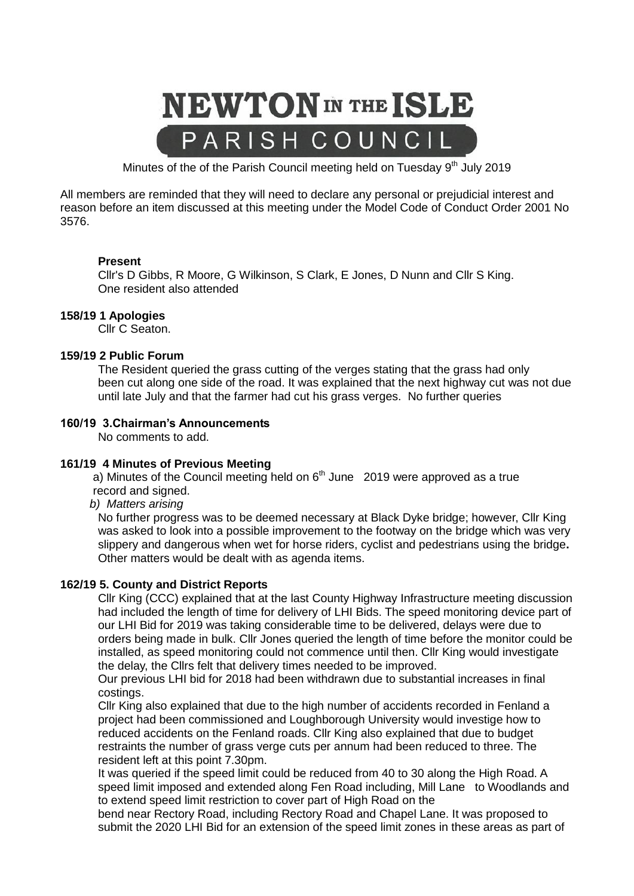

Minutes of the of the Parish Council meeting held on Tuesday  $9<sup>th</sup>$  July 2019

All members are reminded that they will need to declare any personal or prejudicial interest and reason before an item discussed at this meeting under the Model Code of Conduct Order 2001 No 3576.

#### **Present**

Cllr's D Gibbs, R Moore, G Wilkinson, S Clark, E Jones, D Nunn and Cllr S King. One resident also attended

#### **158/19 1 Apologies**

Cllr C Seaton.

#### **159/19 2 Public Forum**

The Resident queried the grass cutting of the verges stating that the grass had only been cut along one side of the road. It was explained that the next highway cut was not due until late July and that the farmer had cut his grass verges. No further queries

#### **160/19 3.Chairman's Announcements**

No comments to add.

#### **161/19 4 Minutes of Previous Meeting**

a) Minutes of the Council meeting held on  $6<sup>th</sup>$  June 2019 were approved as a true record and signed.

 *b) Matters arising*

No further progress was to be deemed necessary at Black Dyke bridge; however, Cllr King was asked to look into a possible improvement to the footway on the bridge which was very slippery and dangerous when wet for horse riders, cyclist and pedestrians using the bridge**.** Other matters would be dealt with as agenda items.

#### **162/19 5. County and District Reports**

Cllr King (CCC) explained that at the last County Highway Infrastructure meeting discussion had included the length of time for delivery of LHI Bids. The speed monitoring device part of our LHI Bid for 2019 was taking considerable time to be delivered, delays were due to orders being made in bulk. Cllr Jones queried the length of time before the monitor could be installed, as speed monitoring could not commence until then. Cllr King would investigate the delay, the Cllrs felt that delivery times needed to be improved.

Our previous LHI bid for 2018 had been withdrawn due to substantial increases in final costings.

Cllr King also explained that due to the high number of accidents recorded in Fenland a project had been commissioned and Loughborough University would investige how to reduced accidents on the Fenland roads. Cllr King also explained that due to budget restraints the number of grass verge cuts per annum had been reduced to three. The resident left at this point 7.30pm.

It was queried if the speed limit could be reduced from 40 to 30 along the High Road. A speed limit imposed and extended along Fen Road including, Mill Lane to Woodlands and to extend speed limit restriction to cover part of High Road on the

bend near Rectory Road, including Rectory Road and Chapel Lane. It was proposed to submit the 2020 LHI Bid for an extension of the speed limit zones in these areas as part of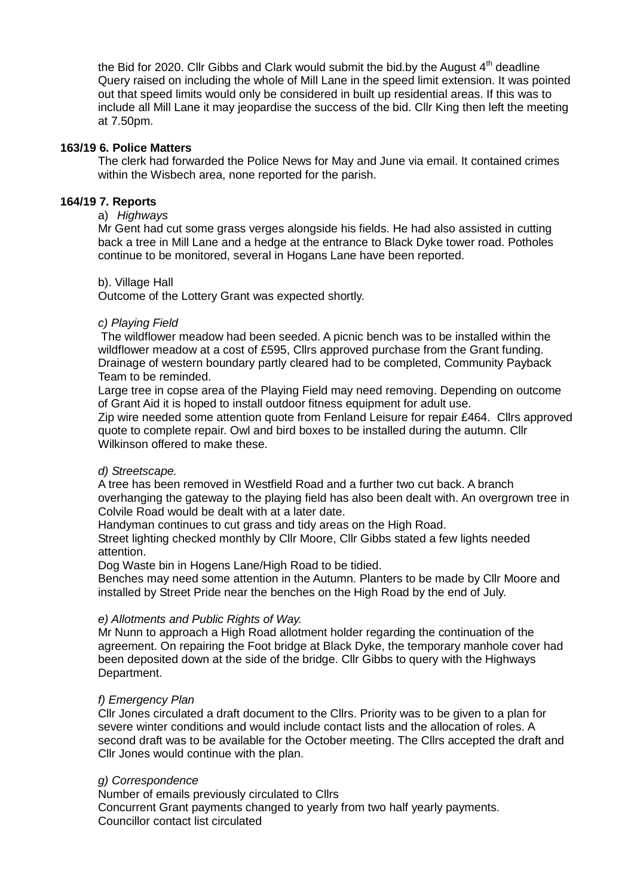the Bid for 2020. Cllr Gibbs and Clark would submit the bid.by the August  $4<sup>th</sup>$  deadline Query raised on including the whole of Mill Lane in the speed limit extension. It was pointed out that speed limits would only be considered in built up residential areas. If this was to include all Mill Lane it may jeopardise the success of the bid. Cllr King then left the meeting at 7.50pm.

#### **163/19 6. Police Matters**

The clerk had forwarded the Police News for May and June via email. It contained crimes within the Wisbech area, none reported for the parish.

#### **164/19 7. Reports**

### a) *Highways*

Mr Gent had cut some grass verges alongside his fields. He had also assisted in cutting back a tree in Mill Lane and a hedge at the entrance to Black Dyke tower road. Potholes continue to be monitored, several in Hogans Lane have been reported.

### b). Village Hall

Outcome of the Lottery Grant was expected shortly.

### *c) Playing Field*

The wildflower meadow had been seeded. A picnic bench was to be installed within the wildflower meadow at a cost of £595, Cllrs approved purchase from the Grant funding. Drainage of western boundary partly cleared had to be completed, Community Payback Team to be reminded.

Large tree in copse area of the Playing Field may need removing. Depending on outcome of Grant Aid it is hoped to install outdoor fitness equipment for adult use.

Zip wire needed some attention quote from Fenland Leisure for repair £464. Cllrs approved quote to complete repair. Owl and bird boxes to be installed during the autumn. Cllr Wilkinson offered to make these.

# *d) Streetscape.*

A tree has been removed in Westfield Road and a further two cut back. A branch overhanging the gateway to the playing field has also been dealt with. An overgrown tree in Colvile Road would be dealt with at a later date.

Handyman continues to cut grass and tidy areas on the High Road.

Street lighting checked monthly by Cllr Moore, Cllr Gibbs stated a few lights needed attention.

Dog Waste bin in Hogens Lane/High Road to be tidied.

Benches may need some attention in the Autumn. Planters to be made by Cllr Moore and installed by Street Pride near the benches on the High Road by the end of July.

# *e) Allotments and Public Rights of Way.*

Mr Nunn to approach a High Road allotment holder regarding the continuation of the agreement. On repairing the Foot bridge at Black Dyke, the temporary manhole cover had been deposited down at the side of the bridge. Cllr Gibbs to query with the Highways Department.

# *f) Emergency Plan*

Cllr Jones circulated a draft document to the Cllrs. Priority was to be given to a plan for severe winter conditions and would include contact lists and the allocation of roles. A second draft was to be available for the October meeting. The Cllrs accepted the draft and Cllr Jones would continue with the plan.

#### *g) Correspondence*

Number of emails previously circulated to Cllrs Concurrent Grant payments changed to yearly from two half yearly payments. Councillor contact list circulated